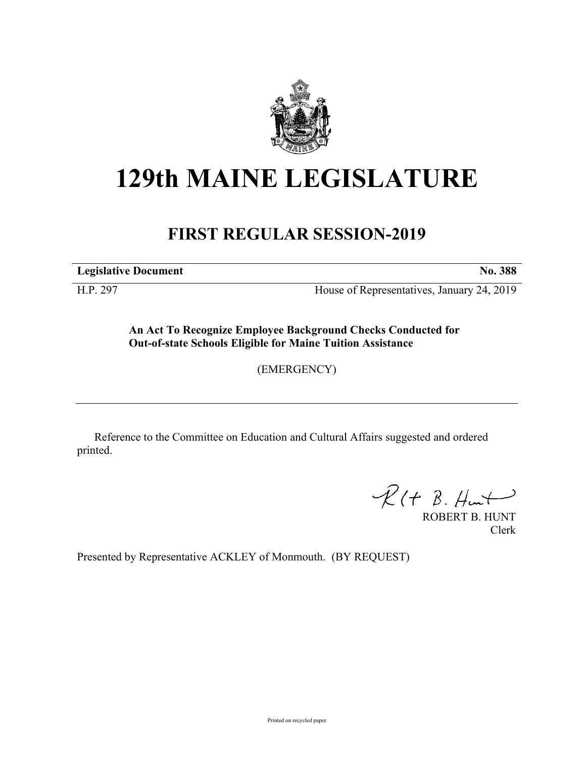

## **129th MAINE LEGISLATURE**

## **FIRST REGULAR SESSION-2019**

**Legislative Document No. 388**

H.P. 297 House of Representatives, January 24, 2019

**An Act To Recognize Employee Background Checks Conducted for Out-of-state Schools Eligible for Maine Tuition Assistance**

(EMERGENCY)

Reference to the Committee on Education and Cultural Affairs suggested and ordered printed.

 $R(H B. H +$ 

ROBERT B. HUNT Clerk

Presented by Representative ACKLEY of Monmouth. (BY REQUEST)